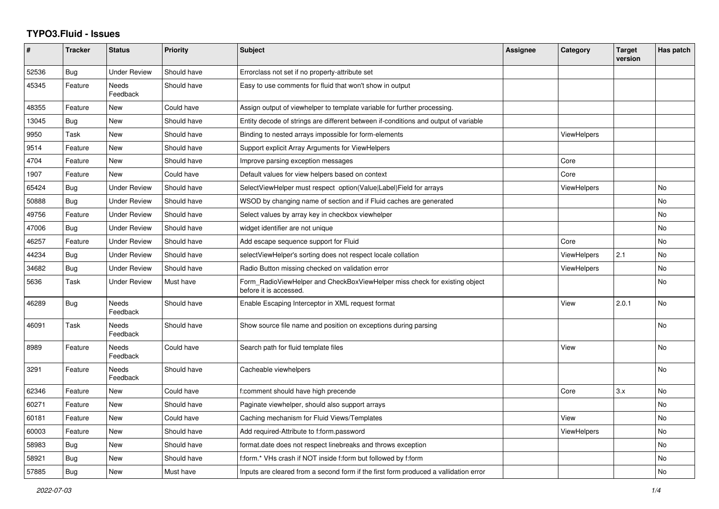## **TYPO3.Fluid - Issues**

| #     | <b>Tracker</b> | <b>Status</b>            | <b>Priority</b> | Subject                                                                                              | <b>Assignee</b> | Category           | <b>Target</b><br>version | Has patch |
|-------|----------------|--------------------------|-----------------|------------------------------------------------------------------------------------------------------|-----------------|--------------------|--------------------------|-----------|
| 52536 | Bug            | <b>Under Review</b>      | Should have     | Errorclass not set if no property-attribute set                                                      |                 |                    |                          |           |
| 45345 | Feature        | Needs<br>Feedback        | Should have     | Easy to use comments for fluid that won't show in output                                             |                 |                    |                          |           |
| 48355 | Feature        | New                      | Could have      | Assign output of viewhelper to template variable for further processing.                             |                 |                    |                          |           |
| 13045 | Bug            | <b>New</b>               | Should have     | Entity decode of strings are different between if-conditions and output of variable                  |                 |                    |                          |           |
| 9950  | Task           | New                      | Should have     | Binding to nested arrays impossible for form-elements                                                |                 | ViewHelpers        |                          |           |
| 9514  | Feature        | New                      | Should have     | Support explicit Array Arguments for ViewHelpers                                                     |                 |                    |                          |           |
| 4704  | Feature        | New                      | Should have     | Improve parsing exception messages                                                                   |                 | Core               |                          |           |
| 1907  | Feature        | <b>New</b>               | Could have      | Default values for view helpers based on context                                                     |                 | Core               |                          |           |
| 65424 | Bug            | <b>Under Review</b>      | Should have     | SelectViewHelper must respect option(Value Label)Field for arrays                                    |                 | <b>ViewHelpers</b> |                          | No        |
| 50888 | Bug            | <b>Under Review</b>      | Should have     | WSOD by changing name of section and if Fluid caches are generated                                   |                 |                    |                          | No        |
| 49756 | Feature        | <b>Under Review</b>      | Should have     | Select values by array key in checkbox viewhelper                                                    |                 |                    |                          | <b>No</b> |
| 47006 | Bug            | <b>Under Review</b>      | Should have     | widget identifier are not unique                                                                     |                 |                    |                          | <b>No</b> |
| 46257 | Feature        | <b>Under Review</b>      | Should have     | Add escape sequence support for Fluid                                                                |                 | Core               |                          | No        |
| 44234 | Bug            | <b>Under Review</b>      | Should have     | selectViewHelper's sorting does not respect locale collation                                         |                 | <b>ViewHelpers</b> | 2.1                      | <b>No</b> |
| 34682 | Bug            | <b>Under Review</b>      | Should have     | Radio Button missing checked on validation error                                                     |                 | ViewHelpers        |                          | <b>No</b> |
| 5636  | Task           | <b>Under Review</b>      | Must have       | Form RadioViewHelper and CheckBoxViewHelper miss check for existing object<br>before it is accessed. |                 |                    |                          | No        |
| 46289 | Bug            | Needs<br>Feedback        | Should have     | Enable Escaping Interceptor in XML request format                                                    |                 | View               | 2.0.1                    | <b>No</b> |
| 46091 | Task           | <b>Needs</b><br>Feedback | Should have     | Show source file name and position on exceptions during parsing                                      |                 |                    |                          | <b>No</b> |
| 8989  | Feature        | <b>Needs</b><br>Feedback | Could have      | Search path for fluid template files                                                                 |                 | View               |                          | <b>No</b> |
| 3291  | Feature        | Needs<br>Feedback        | Should have     | Cacheable viewhelpers                                                                                |                 |                    |                          | <b>No</b> |
| 62346 | Feature        | New                      | Could have      | f:comment should have high precende                                                                  |                 | Core               | 3.x                      | No        |
| 60271 | Feature        | <b>New</b>               | Should have     | Paginate viewhelper, should also support arrays                                                      |                 |                    |                          | <b>No</b> |
| 60181 | Feature        | <b>New</b>               | Could have      | Caching mechanism for Fluid Views/Templates                                                          |                 | View               |                          | <b>No</b> |
| 60003 | Feature        | New                      | Should have     | Add required-Attribute to f:form.password                                                            |                 | ViewHelpers        |                          | No        |
| 58983 | Bug            | New                      | Should have     | format.date does not respect linebreaks and throws exception                                         |                 |                    |                          | No        |
| 58921 | Bug            | New                      | Should have     | f:form.* VHs crash if NOT inside f:form but followed by f:form                                       |                 |                    |                          | No        |
| 57885 | Bug            | New                      | Must have       | Inputs are cleared from a second form if the first form produced a vallidation error                 |                 |                    |                          | No        |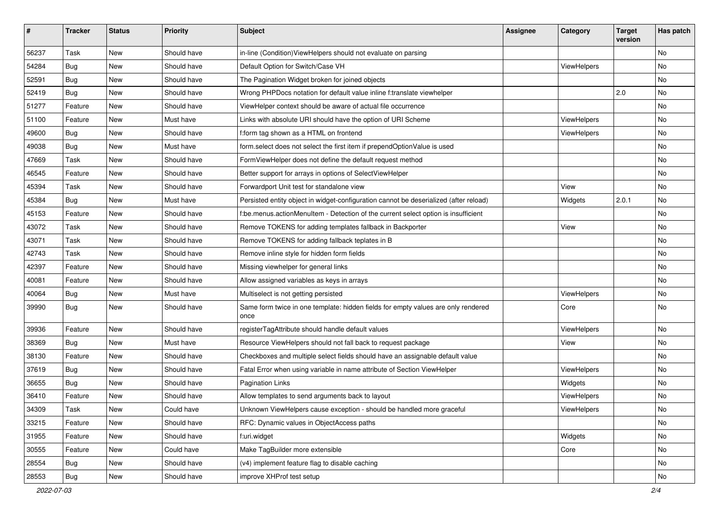| #     | <b>Tracker</b> | <b>Status</b> | <b>Priority</b> | <b>Subject</b>                                                                            | Assignee | Category    | <b>Target</b><br>version | Has patch |
|-------|----------------|---------------|-----------------|-------------------------------------------------------------------------------------------|----------|-------------|--------------------------|-----------|
| 56237 | Task           | New           | Should have     | in-line (Condition) ViewHelpers should not evaluate on parsing                            |          |             |                          | <b>No</b> |
| 54284 | Bug            | New           | Should have     | Default Option for Switch/Case VH                                                         |          | ViewHelpers |                          | No        |
| 52591 | Bug            | New           | Should have     | The Pagination Widget broken for joined objects                                           |          |             |                          | No        |
| 52419 | Bug            | New           | Should have     | Wrong PHPDocs notation for default value inline f:translate viewhelper                    |          |             | 2.0                      | No        |
| 51277 | Feature        | New           | Should have     | ViewHelper context should be aware of actual file occurrence                              |          |             |                          | No        |
| 51100 | Feature        | <b>New</b>    | Must have       | Links with absolute URI should have the option of URI Scheme                              |          | ViewHelpers |                          | No        |
| 49600 | Bug            | New           | Should have     | f:form tag shown as a HTML on frontend                                                    |          | ViewHelpers |                          | No        |
| 49038 | <b>Bug</b>     | New           | Must have       | form.select does not select the first item if prependOptionValue is used                  |          |             |                          | No        |
| 47669 | Task           | New           | Should have     | FormViewHelper does not define the default request method                                 |          |             |                          | No        |
| 46545 | Feature        | New           | Should have     | Better support for arrays in options of SelectViewHelper                                  |          |             |                          | No        |
| 45394 | Task           | New           | Should have     | Forwardport Unit test for standalone view                                                 |          | View        |                          | No        |
| 45384 | <b>Bug</b>     | New           | Must have       | Persisted entity object in widget-configuration cannot be deserialized (after reload)     |          | Widgets     | 2.0.1                    | No        |
| 45153 | Feature        | New           | Should have     | f:be.menus.actionMenuItem - Detection of the current select option is insufficient        |          |             |                          | No        |
| 43072 | Task           | New           | Should have     | Remove TOKENS for adding templates fallback in Backporter                                 |          | View        |                          | No        |
| 43071 | Task           | New           | Should have     | Remove TOKENS for adding fallback teplates in B                                           |          |             |                          | No        |
| 42743 | Task           | New           | Should have     | Remove inline style for hidden form fields                                                |          |             |                          | No        |
| 42397 | Feature        | New           | Should have     | Missing viewhelper for general links                                                      |          |             |                          | No        |
| 40081 | Feature        | New           | Should have     | Allow assigned variables as keys in arrays                                                |          |             |                          | No        |
| 40064 | Bug            | <b>New</b>    | Must have       | Multiselect is not getting persisted                                                      |          | ViewHelpers |                          | No        |
| 39990 | Bug            | New           | Should have     | Same form twice in one template: hidden fields for empty values are only rendered<br>once |          | Core        |                          | No        |
| 39936 | Feature        | New           | Should have     | registerTagAttribute should handle default values                                         |          | ViewHelpers |                          | No        |
| 38369 | Bug            | New           | Must have       | Resource ViewHelpers should not fall back to request package                              |          | View        |                          | No        |
| 38130 | Feature        | New           | Should have     | Checkboxes and multiple select fields should have an assignable default value             |          |             |                          | No        |
| 37619 | <b>Bug</b>     | New           | Should have     | Fatal Error when using variable in name attribute of Section ViewHelper                   |          | ViewHelpers |                          | No        |
| 36655 | <b>Bug</b>     | New           | Should have     | <b>Pagination Links</b>                                                                   |          | Widgets     |                          | No        |
| 36410 | Feature        | New           | Should have     | Allow templates to send arguments back to layout                                          |          | ViewHelpers |                          | No        |
| 34309 | Task           | New           | Could have      | Unknown ViewHelpers cause exception - should be handled more graceful                     |          | ViewHelpers |                          | No        |
| 33215 | Feature        | New           | Should have     | RFC: Dynamic values in ObjectAccess paths                                                 |          |             |                          | No        |
| 31955 | Feature        | New           | Should have     | f:uri.widget                                                                              |          | Widgets     |                          | No        |
| 30555 | Feature        | New           | Could have      | Make TagBuilder more extensible                                                           |          | Core        |                          | No        |
| 28554 | <b>Bug</b>     | New           | Should have     | (v4) implement feature flag to disable caching                                            |          |             |                          | No        |
| 28553 | <b>Bug</b>     | New           | Should have     | improve XHProf test setup                                                                 |          |             |                          | No        |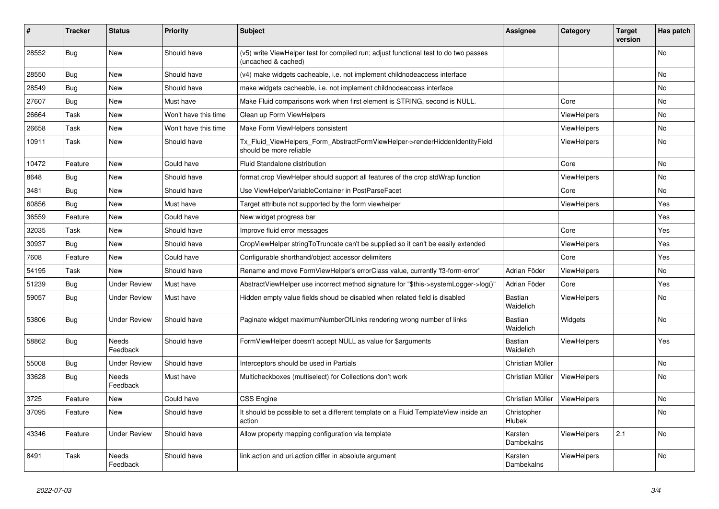| #     | <b>Tracker</b> | <b>Status</b>       | <b>Priority</b>      | <b>Subject</b>                                                                                              | <b>Assignee</b>       | Category           | <b>Target</b><br>version | Has patch      |
|-------|----------------|---------------------|----------------------|-------------------------------------------------------------------------------------------------------------|-----------------------|--------------------|--------------------------|----------------|
| 28552 | Bug            | New                 | Should have          | (v5) write ViewHelper test for compiled run; adjust functional test to do two passes<br>(uncached & cached) |                       |                    |                          | No             |
| 28550 | Bug            | <b>New</b>          | Should have          | (v4) make widgets cacheable, i.e. not implement childnodeaccess interface                                   |                       |                    |                          | N <sub>o</sub> |
| 28549 | Bug            | <b>New</b>          | Should have          | make widgets cacheable, i.e. not implement childnodeaccess interface                                        |                       |                    |                          | <b>No</b>      |
| 27607 | Bug            | New                 | Must have            | Make Fluid comparisons work when first element is STRING, second is NULL.                                   |                       | Core               |                          | <b>No</b>      |
| 26664 | Task           | <b>New</b>          | Won't have this time | Clean up Form ViewHelpers                                                                                   |                       | <b>ViewHelpers</b> |                          | <b>No</b>      |
| 26658 | Task           | New                 | Won't have this time | Make Form ViewHelpers consistent                                                                            |                       | <b>ViewHelpers</b> |                          | <b>No</b>      |
| 10911 | Task           | <b>New</b>          | Should have          | Tx Fluid ViewHelpers Form AbstractFormViewHelper->renderHiddenIdentityField<br>should be more reliable      |                       | <b>ViewHelpers</b> |                          | <b>No</b>      |
| 10472 | Feature        | New                 | Could have           | Fluid Standalone distribution                                                                               |                       | Core               |                          | <b>No</b>      |
| 8648  | Bug            | New                 | Should have          | format.crop ViewHelper should support all features of the crop stdWrap function                             |                       | <b>ViewHelpers</b> |                          | No             |
| 3481  | Bug            | New                 | Should have          | Use ViewHelperVariableContainer in PostParseFacet                                                           |                       | Core               |                          | No             |
| 60856 | Bug            | <b>New</b>          | Must have            | Target attribute not supported by the form viewhelper                                                       |                       | <b>ViewHelpers</b> |                          | Yes            |
| 36559 | Feature        | <b>New</b>          | Could have           | New widget progress bar                                                                                     |                       |                    |                          | Yes            |
| 32035 | Task           | New                 | Should have          | Improve fluid error messages                                                                                |                       | Core               |                          | Yes            |
| 30937 | Bug            | New                 | Should have          | CropViewHelper stringToTruncate can't be supplied so it can't be easily extended                            |                       | <b>ViewHelpers</b> |                          | Yes            |
| 7608  | Feature        | New                 | Could have           | Configurable shorthand/object accessor delimiters                                                           |                       | Core               |                          | Yes            |
| 54195 | Task           | <b>New</b>          | Should have          | Rename and move FormViewHelper's errorClass value, currently 'f3-form-error'                                | Adrian Föder          | <b>ViewHelpers</b> |                          | <b>No</b>      |
| 51239 | Bug            | <b>Under Review</b> | Must have            | AbstractViewHelper use incorrect method signature for "\$this->systemLogger->log()"                         | Adrian Föder          | Core               |                          | Yes            |
| 59057 | Bug            | Under Review        | Must have            | Hidden empty value fields shoud be disabled when related field is disabled                                  | Bastian<br>Waidelich  | ViewHelpers        |                          | No             |
| 53806 | Bug            | <b>Under Review</b> | Should have          | Paginate widget maximumNumberOfLinks rendering wrong number of links                                        | Bastian<br>Waidelich  | Widgets            |                          | No             |
| 58862 | Bug            | Needs<br>Feedback   | Should have          | FormViewHelper doesn't accept NULL as value for \$arguments                                                 | Bastian<br>Waidelich  | <b>ViewHelpers</b> |                          | Yes            |
| 55008 | Bug            | <b>Under Review</b> | Should have          | Interceptors should be used in Partials                                                                     | Christian Müller      |                    |                          | <b>No</b>      |
| 33628 | Bug            | Needs<br>Feedback   | Must have            | Multicheckboxes (multiselect) for Collections don't work                                                    | Christian Müller      | <b>ViewHelpers</b> |                          | <b>No</b>      |
| 3725  | Feature        | New                 | Could have           | <b>CSS Engine</b>                                                                                           | Christian Müller      | ViewHelpers        |                          | <b>No</b>      |
| 37095 | Feature        | New                 | Should have          | It should be possible to set a different template on a Fluid TemplateView inside an<br>action               | Christopher<br>Hlubek |                    |                          | No             |
| 43346 | Feature        | <b>Under Review</b> | Should have          | Allow property mapping configuration via template                                                           | Karsten<br>Dambekalns | <b>ViewHelpers</b> | 2.1                      | No.            |
| 8491  | Task           | Needs<br>Feedback   | Should have          | link.action and uri.action differ in absolute argument                                                      | Karsten<br>Dambekalns | ViewHelpers        |                          | <b>No</b>      |